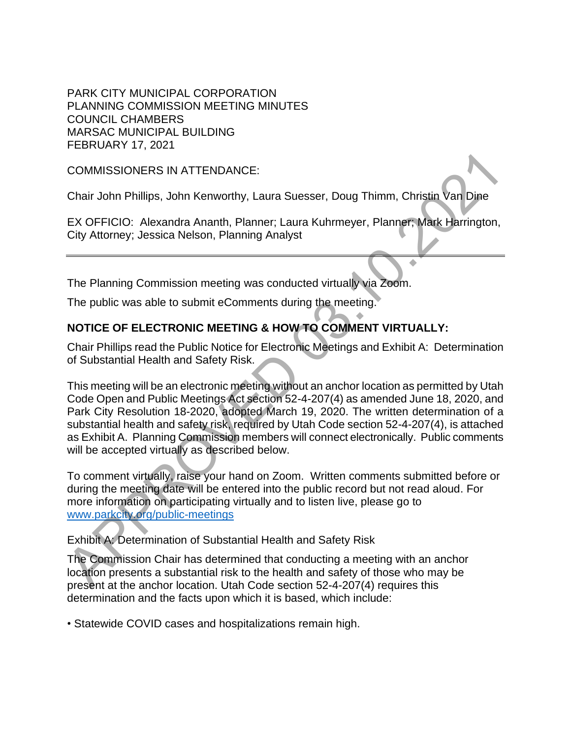PARK CITY MUNICIPAL CORPORATION PLANNING COMMISSION MEETING MINUTES COUNCIL CHAMBERS MARSAC MUNICIPAL BUILDING FEBRUARY 17, 2021

COMMISSIONERS IN ATTENDANCE:

Chair John Phillips, John Kenworthy, Laura Suesser, Doug Thimm, Christin Van Dine

EX OFFICIO: Alexandra Ananth, Planner; Laura Kuhrmeyer, Planner; Mark Harrington, City Attorney; Jessica Nelson, Planning Analyst

The Planning Commission meeting was conducted virtually via Zoom.

The public was able to submit eComments during the meeting.

## **NOTICE OF ELECTRONIC MEETING & HOW TO COMMENT VIRTUALLY:**

Chair Phillips read the Public Notice for Electronic Meetings and Exhibit A: Determination of Substantial Health and Safety Risk.

This meeting will be an electronic meeting without an anchor location as permitted by Utah Code Open and Public Meetings Act section 52-4-207(4) as amended June 18, 2020, and Park City Resolution 18-2020, adopted March 19, 2020. The written determination of a substantial health and safety risk, required by Utah Code section 52-4-207(4), is attached as Exhibit A. Planning Commission members will connect electronically. Public comments will be accepted virtually as described below. COMMISSIONERS IN ATTENDANCE:<br>
Chair John Phillips, John Kenworthy, Laura Suesser, Doug Thimm, Christin Van Dine<br>
EX OFFICIO: Alexandra Ananth, Planner; Laura Kuhrmeyer, Planner; Mark Harrington<br>
City Attomey; Jessica Nelso

To comment virtually, raise your hand on Zoom. Written comments submitted before or during the meeting date will be entered into the public record but not read aloud. For more information on participating virtually and to listen live, please go to www.parkcity.org/public-meetings

Exhibit A: Determination of Substantial Health and Safety Risk

The Commission Chair has determined that conducting a meeting with an anchor location presents a substantial risk to the health and safety of those who may be present at the anchor location. Utah Code section 52-4-207(4) requires this determination and the facts upon which it is based, which include:

• Statewide COVID cases and hospitalizations remain high.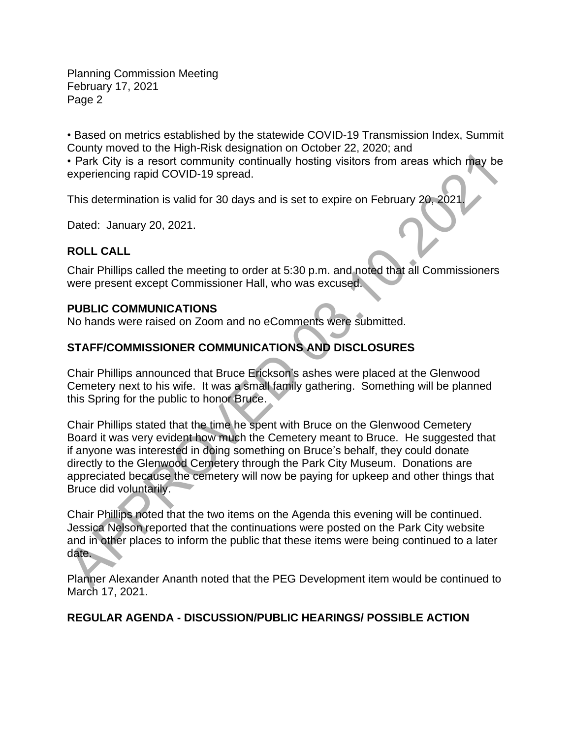Planning Commission Meeting February 17, 2021 Page 2

• Based on metrics established by the statewide COVID-19 Transmission Index, Summit County moved to the High-Risk designation on October 22, 2020; and

• Park City is a resort community continually hosting visitors from areas which may be experiencing rapid COVID-19 spread.

This determination is valid for 30 days and is set to expire on February 20, 2021.

Dated: January 20, 2021.

## **ROLL CALL**

Chair Phillips called the meeting to order at 5:30 p.m. and noted that all Commissioners were present except Commissioner Hall, who was excused.

### **PUBLIC COMMUNICATIONS**

No hands were raised on Zoom and no eComments were submitted.

# **STAFF/COMMISSIONER COMMUNICATIONS AND DISCLOSURES**

Chair Phillips announced that Bruce Erickson's ashes were placed at the Glenwood Cemetery next to his wife. It was a small family gathering. Something will be planned this Spring for the public to honor Bruce.

Chair Phillips stated that the time he spent with Bruce on the Glenwood Cemetery Board it was very evident how much the Cemetery meant to Bruce. He suggested that if anyone was interested in doing something on Bruce's behalf, they could donate directly to the Glenwood Cemetery through the Park City Museum. Donations are appreciated because the cemetery will now be paying for upkeep and other things that Bruce did voluntarily. • Park City is a resort community continually hosting visitors from areas which may be<br>repriencing rapid COVID-19 spread.<br>This determination is valid for 30 days and is set to expire on February 20, 2021.<br>Dated: January 20

Chair Phillips noted that the two items on the Agenda this evening will be continued. Jessica Nelson reported that the continuations were posted on the Park City website and in other places to inform the public that these items were being continued to a later date.

Planner Alexander Ananth noted that the PEG Development item would be continued to March 17, 2021.

## **REGULAR AGENDA - DISCUSSION/PUBLIC HEARINGS/ POSSIBLE ACTION**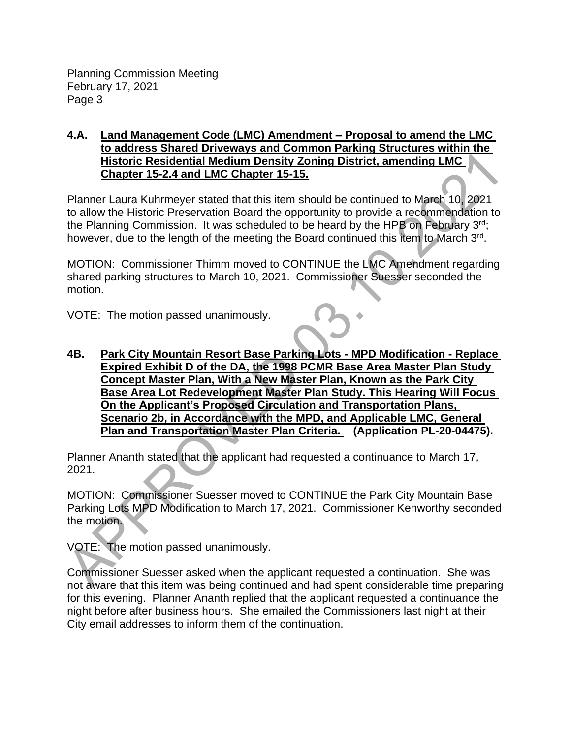#### **4.A. Land Management Code (LMC) Amendment – Proposal to amend the LMC to address Shared Driveways and Common Parking Structures within the Historic Residential Medium Density Zoning District, amending LMC Chapter 15-2.4 and LMC Chapter 15-15.**

Planner Laura Kuhrmeyer stated that this item should be continued to March 10, 2021 to allow the Historic Preservation Board the opportunity to provide a recommendation to the Planning Commission. It was scheduled to be heard by the HPB on February 3<sup>rd</sup>; however, due to the length of the meeting the Board continued this item to March 3<sup>rd</sup>.

MOTION: Commissioner Thimm moved to CONTINUE the LMC Amendment regarding shared parking structures to March 10, 2021. Commissioner Suesser seconded the motion.

VOTE: The motion passed unanimously.

**4B. Park City Mountain Resort Base Parking Lots - MPD Modification - Replace Expired Exhibit D of the DA, the 1998 PCMR Base Area Master Plan Study Concept Master Plan, With a New Master Plan, Known as the Park City Base Area Lot Redevelopment Master Plan Study. This Hearing Will Focus On the Applicant's Proposed Circulation and Transportation Plans, Scenario 2b, in Accordance with the MPD, and Applicable LMC, General Plan and Transportation Master Plan Criteria. (Application PL-20-04475). Example The APP and LMC Chapper 15-15.**<br>
Matter Chapter 15-24 and LMC Chapter 15-15.<br>
Planner Laura Kuhrmeyer stated that his item should be continued to March 10, 2021<br>
to allow the Historic Preservation Board the opport

Planner Ananth stated that the applicant had requested a continuance to March 17, 2021.

MOTION: Commissioner Suesser moved to CONTINUE the Park City Mountain Base Parking Lots MPD Modification to March 17, 2021. Commissioner Kenworthy seconded the motion.

VOTE: The motion passed unanimously.

Commissioner Suesser asked when the applicant requested a continuation. She was not aware that this item was being continued and had spent considerable time preparing for this evening. Planner Ananth replied that the applicant requested a continuance the night before after business hours. She emailed the Commissioners last night at their City email addresses to inform them of the continuation.